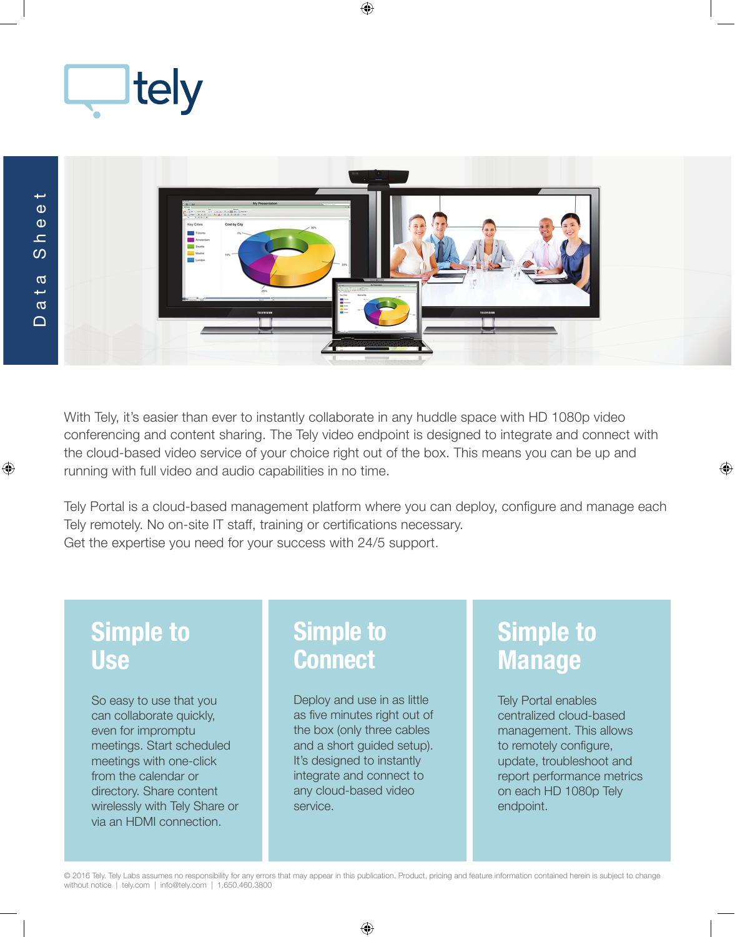



With Tely, it's easier than ever to instantly collaborate in any huddle space with HD 1080p video conferencing and content sharing. The Tely video endpoint is designed to integrate and connect with the cloud-based video service of your choice right out of the box. This means you can be up and running with full video and audio capabilities in no time.

Tely Portal is a cloud-based management platform where you can deploy, configure and manage each Tely remotely. No on-site IT staff, training or certifications necessary. Get the expertise you need for your success with 24/5 support.

## **Simple to Use**

So easy to use that you can collaborate quickly, even for impromptu meetings. Start scheduled meetings with one-click from the calendar or directory. Share content wirelessly with Tely Share or via an HDMI connection.

## **Simple to Connect**

Deploy and use in as little as five minutes right out of the box (only three cables and a short guided setup). It's designed to instantly integrate and connect to any cloud-based video service.

# **Simple to Manage**

Tely Portal enables centralized cloud-based management. This allows to remotely configure, update, troubleshoot and report performance metrics on each HD 1080p Tely endpoint.

© 2016 Tely. Tely Labs assumes no responsibility for any errors that may appear in this publication. Product, pricing and feature information contained herein is subject to change without notice | tely.com | info@tely.com | 1.650.460.3800